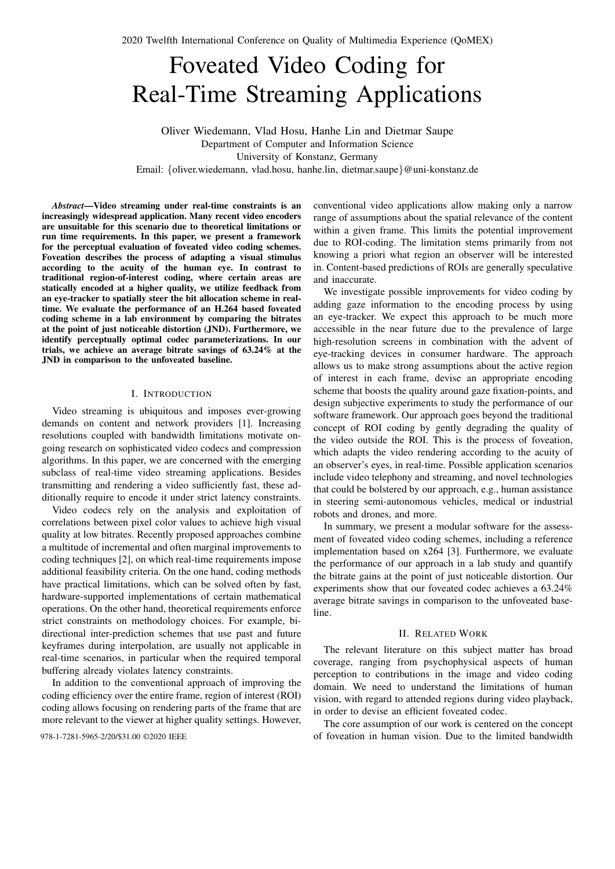# Foveated Video Coding for Real-Time Streaming Applications

Oliver Wiedemann, Vlad Hosu, Hanhe Lin and Dietmar Saupe Department of Computer and Information Science University of Konstanz, Germany Email: {oliver.wiedemann, vlad.hosu, hanhe.lin, dietmar.saupe}@uni-konstanz.de

*Abstract*—Video streaming under real-time constraints is an increasingly widespread application. Many recent video encoders are unsuitable for this scenario due to theoretical limitations or run time requirements. In this paper, we present a framework for the perceptual evaluation of foveated video coding schemes. Foveation describes the process of adapting a visual stimulus according to the acuity of the human eye. In contrast to traditional region-of-interest coding, where certain areas are statically encoded at a higher quality, we utilize feedback from an eye-tracker to spatially steer the bit allocation scheme in realtime. We evaluate the performance of an H.264 based foveated coding scheme in a lab environment by comparing the bitrates at the point of just noticeable distortion (JND). Furthermore, we identify perceptually optimal codec parameterizations. In our trials, we achieve an average bitrate savings of 63.24% at the JND in comparison to the unfoveated baseline.

# I. INTRODUCTION

Video streaming is ubiquitous and imposes ever-growing demands on content and network providers [1]. Increasing resolutions coupled with bandwidth limitations motivate ongoing research on sophisticated video codecs and compression algorithms. In this paper, we are concerned with the emerging subclass of real-time video streaming applications. Besides transmitting and rendering a video sufficiently fast, these additionally require to encode it under strict latency constraints.

Video codecs rely on the analysis and exploitation of correlations between pixel color values to achieve high visual quality at low bitrates. Recently proposed approaches combine a multitude of incremental and often marginal improvements to coding techniques [2], on which real-time requirements impose additional feasibility criteria. On the one hand, coding methods have practical limitations, which can be solved often by fast, hardware-supported implementations of certain mathematical operations. On the other hand, theoretical requirements enforce strict constraints on methodology choices. For example, bidirectional inter-prediction schemes that use past and future keyframes during interpolation, are usually not applicable in real-time scenarios, in particular when the required temporal buffering already violates latency constraints.

In addition to the conventional approach of improving the coding efficiency over the entire frame, region of interest (ROI) coding allows focusing on rendering parts of the frame that are more relevant to the viewer at higher quality settings. However,

conventional video applications allow making only a narrow range of assumptions about the spatial relevance of the content within a given frame. This limits the potential improvement due to ROI-coding. The limitation stems primarily from not knowing a priori what region an observer will be interested in. Content-based predictions of ROIs are generally speculative and inaccurate.

We investigate possible improvements for video coding by adding gaze information to the encoding process by using an eye-tracker. We expect this approach to be much more accessible in the near future due to the prevalence of large high-resolution screens in combination with the advent of eye-tracking devices in consumer hardware. The approach allows us to make strong assumptions about the active region of interest in each frame, devise an appropriate encoding scheme that boosts the quality around gaze fixation-points, and design subjective experiments to study the performance of our software framework. Our approach goes beyond the traditional concept of ROI coding by gently degrading the quality of the video outside the ROI. This is the process of foveation, which adapts the video rendering according to the acuity of an observer's eyes, in real-time. Possible application scenarios include video telephony and streaming, and novel technologies that could be bolstered by our approach, e.g., human assistance in steering semi-autonomous vehicles, medical or industrial robots and drones, and more.

In summary, we present a modular software for the assessment of foveated video coding schemes, including a reference implementation based on x264 [3]. Furthermore, we evaluate the performance of our approach in a lab study and quantify the bitrate gains at the point of just noticeable distortion. Our experiments show that our foveated codec achieves a 63.24% average bitrate savings in comparison to the unfoveated baseline.

### II. RELATED WORK

The relevant literature on this subject matter has broad coverage, ranging from psychophysical aspects of human perception to contributions in the image and video coding domain. We need to understand the limitations of human vision, with regard to attended regions during video playback, in order to devise an efficient foveated codec.

The core assumption of our work is centered on the concept 978-1-7281-5965-2/20/\$31.00 ©2020 IEEE of foveation in human vision. Due to the limited bandwidth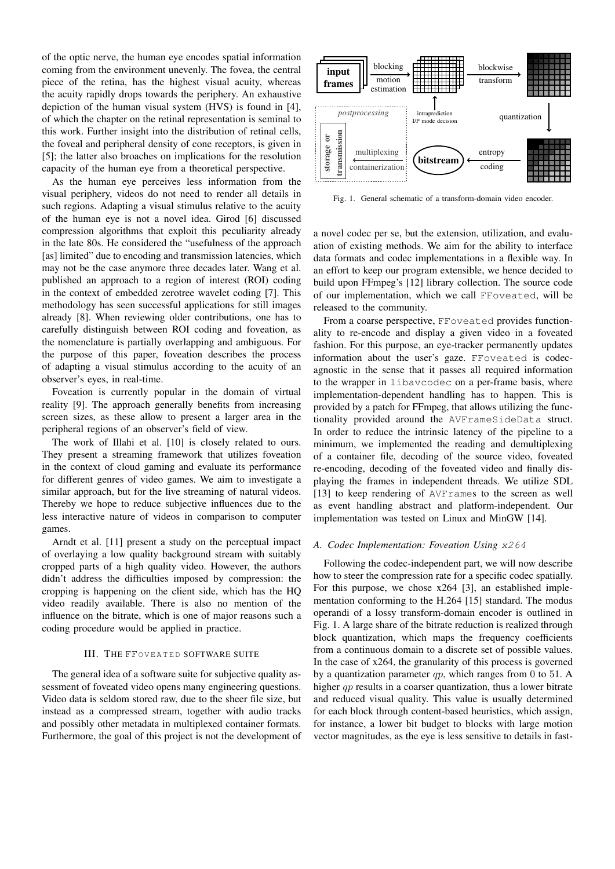of the optic nerve, the human eye encodes spatial information coming from the environment unevenly. The fovea, the central piece of the retina, has the highest visual acuity, whereas the acuity rapidly drops towards the periphery. An exhaustive depiction of the human visual system (HVS) is found in [4], of which the chapter on the retinal representation is seminal to this work. Further insight into the distribution of retinal cells, the foveal and peripheral density of cone receptors, is given in [5]; the latter also broaches on implications for the resolution capacity of the human eye from a theoretical perspective.

As the human eye perceives less information from the visual periphery, videos do not need to render all details in such regions. Adapting a visual stimulus relative to the acuity of the human eye is not a novel idea. Girod [6] discussed compression algorithms that exploit this peculiarity already in the late 80s. He considered the "usefulness of the approach [as] limited" due to encoding and transmission latencies, which may not be the case anymore three decades later. Wang et al. published an approach to a region of interest (ROI) coding in the context of embedded zerotree wavelet coding [7]. This methodology has seen successful applications for still images already [8]. When reviewing older contributions, one has to carefully distinguish between ROI coding and foveation, as the nomenclature is partially overlapping and ambiguous. For the purpose of this paper, foveation describes the process of adapting a visual stimulus according to the acuity of an observer's eyes, in real-time.

Foveation is currently popular in the domain of virtual reality [9]. The approach generally benefits from increasing screen sizes, as these allow to present a larger area in the peripheral regions of an observer's field of view.

The work of Illahi et al. [10] is closely related to ours. They present a streaming framework that utilizes foveation in the context of cloud gaming and evaluate its performance for different genres of video games. We aim to investigate a similar approach, but for the live streaming of natural videos. Thereby we hope to reduce subjective influences due to the less interactive nature of videos in comparison to computer games.

Arndt et al. [11] present a study on the perceptual impact of overlaying a low quality background stream with suitably cropped parts of a high quality video. However, the authors didn't address the difficulties imposed by compression: the cropping is happening on the client side, which has the HQ video readily available. There is also no mention of the influence on the bitrate, which is one of major reasons such a coding procedure would be applied in practice.

#### III. THE FFOVEATED SOFTWARE SUITE

The general idea of a software suite for subjective quality assessment of foveated video opens many engineering questions. Video data is seldom stored raw, due to the sheer file size, but instead as a compressed stream, together with audio tracks and possibly other metadata in multiplexed container formats. Furthermore, the goal of this project is not the development of



Fig. 1. General schematic of a transform-domain video encoder.

a novel codec per se, but the extension, utilization, and evaluation of existing methods. We aim for the ability to interface data formats and codec implementations in a flexible way. In an effort to keep our program extensible, we hence decided to build upon FFmpeg's [12] library collection. The source code of our implementation, which we call FFoveated, will be released to the community.

From a coarse perspective, FFoveated provides functionality to re-encode and display a given video in a foveated fashion. For this purpose, an eye-tracker permanently updates information about the user's gaze. FFoveated is codecagnostic in the sense that it passes all required information to the wrapper in libavcodec on a per-frame basis, where implementation-dependent handling has to happen. This is provided by a patch for FFmpeg, that allows utilizing the functionality provided around the AVFrameSideData struct. In order to reduce the intrinsic latency of the pipeline to a minimum, we implemented the reading and demultiplexing of a container file, decoding of the source video, foveated re-encoding, decoding of the foveated video and finally displaying the frames in independent threads. We utilize SDL [13] to keep rendering of AVFrames to the screen as well as event handling abstract and platform-independent. Our implementation was tested on Linux and MinGW [14].

#### *A. Codec Implementation: Foveation Using* x264

Following the codec-independent part, we will now describe how to steer the compression rate for a specific codec spatially. For this purpose, we chose x264 [3], an established implementation conforming to the H.264 [15] standard. The modus operandi of a lossy transform-domain encoder is outlined in Fig. 1. A large share of the bitrate reduction is realized through block quantization, which maps the frequency coefficients from a continuous domain to a discrete set of possible values. In the case of x264, the granularity of this process is governed by a quantization parameter  $qp$ , which ranges from 0 to 51. A higher *qp* results in a coarser quantization, thus a lower bitrate and reduced visual quality. This value is usually determined for each block through content-based heuristics, which assign, for instance, a lower bit budget to blocks with large motion vector magnitudes, as the eye is less sensitive to details in fast-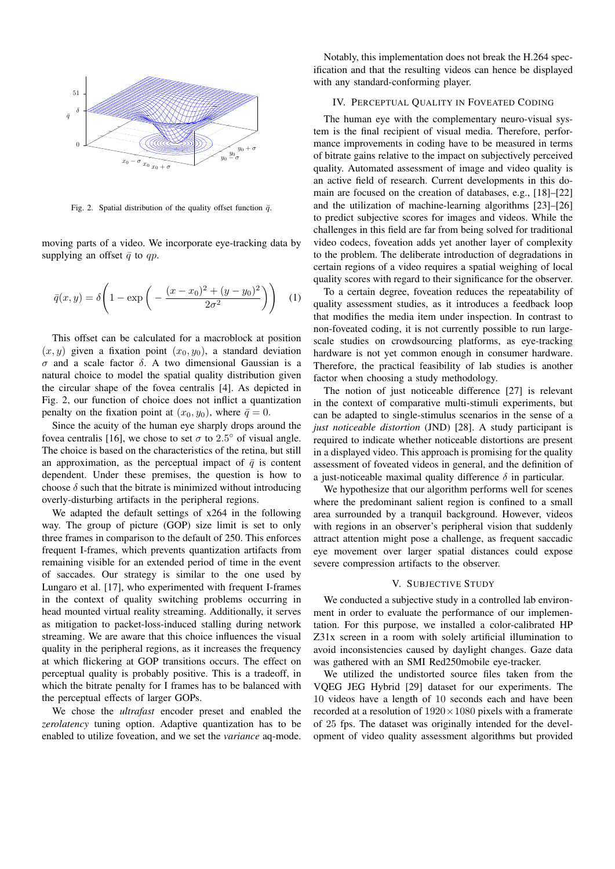

Fig. 2. Spatial distribution of the quality offset function  $\bar{q}$ .

moving parts of a video. We incorporate eye-tracking data by supplying an offset  $\bar{q}$  to qp.

$$
\bar{q}(x,y) = \delta \left( 1 - \exp \left( - \frac{(x - x_0)^2 + (y - y_0)^2}{2\sigma^2} \right) \right) \tag{1}
$$

This offset can be calculated for a macroblock at position  $(x, y)$  given a fixation point  $(x_0, y_0)$ , a standard deviation σ and a scale factor δ. A two dimensional Gaussian is a natural choice to model the spatial quality distribution given the circular shape of the fovea centralis [4]. As depicted in Fig. 2, our function of choice does not inflict a quantization penalty on the fixation point at  $(x_0, y_0)$ , where  $\bar{q} = 0$ .

Since the acuity of the human eye sharply drops around the fovea centralis [16], we chose to set  $\sigma$  to 2.5° of visual angle. The choice is based on the characteristics of the retina, but still an approximation, as the perceptual impact of  $\bar{q}$  is content dependent. Under these premises, the question is how to choose  $\delta$  such that the bitrate is minimized without introducing overly-disturbing artifacts in the peripheral regions.

We adapted the default settings of x264 in the following way. The group of picture (GOP) size limit is set to only three frames in comparison to the default of 250. This enforces frequent I-frames, which prevents quantization artifacts from remaining visible for an extended period of time in the event of saccades. Our strategy is similar to the one used by Lungaro et al. [17], who experimented with frequent I-frames in the context of quality switching problems occurring in head mounted virtual reality streaming. Additionally, it serves as mitigation to packet-loss-induced stalling during network streaming. We are aware that this choice influences the visual quality in the peripheral regions, as it increases the frequency at which flickering at GOP transitions occurs. The effect on perceptual quality is probably positive. This is a tradeoff, in which the bitrate penalty for I frames has to be balanced with the perceptual effects of larger GOPs.

We chose the *ultrafast* encoder preset and enabled the *zerolatency* tuning option. Adaptive quantization has to be enabled to utilize foveation, and we set the *variance* aq-mode.

Notably, this implementation does not break the H.264 specification and that the resulting videos can hence be displayed with any standard-conforming player.

## IV. PERCEPTUAL QUALITY IN FOVEATED CODING

The human eye with the complementary neuro-visual system is the final recipient of visual media. Therefore, performance improvements in coding have to be measured in terms of bitrate gains relative to the impact on subjectively perceived quality. Automated assessment of image and video quality is an active field of research. Current developments in this domain are focused on the creation of databases, e.g., [18]–[22] and the utilization of machine-learning algorithms [23]–[26] to predict subjective scores for images and videos. While the challenges in this field are far from being solved for traditional video codecs, foveation adds yet another layer of complexity to the problem. The deliberate introduction of degradations in certain regions of a video requires a spatial weighing of local quality scores with regard to their significance for the observer.

To a certain degree, foveation reduces the repeatability of quality assessment studies, as it introduces a feedback loop that modifies the media item under inspection. In contrast to non-foveated coding, it is not currently possible to run largescale studies on crowdsourcing platforms, as eye-tracking hardware is not yet common enough in consumer hardware. Therefore, the practical feasibility of lab studies is another factor when choosing a study methodology.

The notion of just noticeable difference [27] is relevant in the context of comparative multi-stimuli experiments, but can be adapted to single-stimulus scenarios in the sense of a *just noticeable distortion* (JND) [28]. A study participant is required to indicate whether noticeable distortions are present in a displayed video. This approach is promising for the quality assessment of foveated videos in general, and the definition of a just-noticeable maximal quality difference  $\delta$  in particular.

We hypothesize that our algorithm performs well for scenes where the predominant salient region is confined to a small area surrounded by a tranquil background. However, videos with regions in an observer's peripheral vision that suddenly attract attention might pose a challenge, as frequent saccadic eye movement over larger spatial distances could expose severe compression artifacts to the observer.

## V. SUBJECTIVE STUDY

We conducted a subjective study in a controlled lab environment in order to evaluate the performance of our implementation. For this purpose, we installed a color-calibrated HP Z31x screen in a room with solely artificial illumination to avoid inconsistencies caused by daylight changes. Gaze data was gathered with an SMI Red250mobile eye-tracker.

We utilized the undistorted source files taken from the VQEG JEG Hybrid [29] dataset for our experiments. The 10 videos have a length of 10 seconds each and have been recorded at a resolution of  $1920 \times 1080$  pixels with a framerate of 25 fps. The dataset was originally intended for the development of video quality assessment algorithms but provided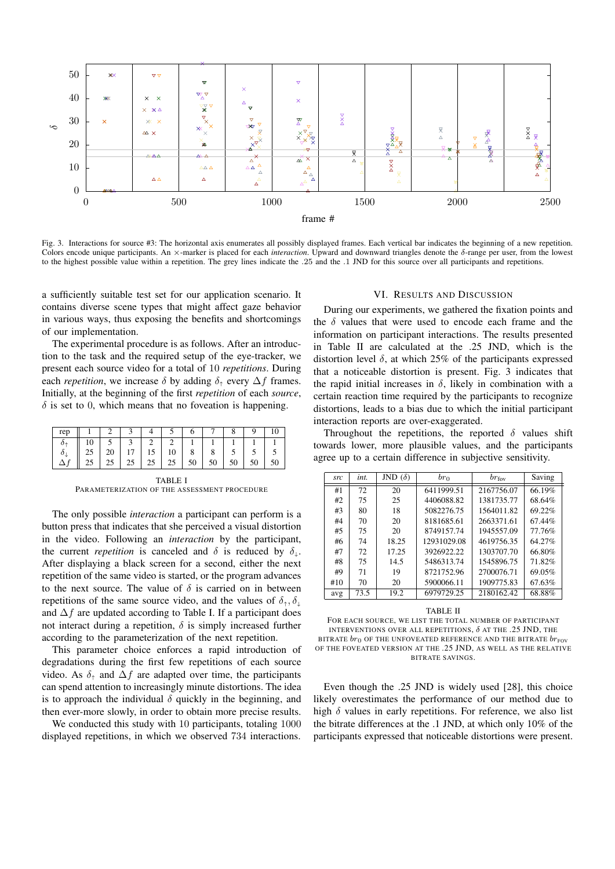

Fig. 3. Interactions for source #3: The horizontal axis enumerates all possibly displayed frames. Each vertical bar indicates the beginning of a new repetition. Colors encode unique participants. An ×-marker is placed for each *interaction*. Upward and downward triangles denote the δ-range per user, from the lowest to the highest possible value within a repetition. The grey lines indicate the .25 and the .1 JND for this source over all participants and repetitions.

a sufficiently suitable test set for our application scenario. It contains diverse scene types that might affect gaze behavior in various ways, thus exposing the benefits and shortcomings of our implementation.

The experimental procedure is as follows. After an introduction to the task and the required setup of the eye-tracker, we present each source video for a total of 10 *repetitions*. During each *repetition*, we increase  $\delta$  by adding  $\delta_{\uparrow}$  every  $\Delta f$  frames. Initially, at the beginning of the first *repetition* of each *source*,  $\delta$  is set to 0, which means that no foveation is happening.

| l rep            |    |            |                   |                     |   |                   |                 |              |  |
|------------------|----|------------|-------------------|---------------------|---|-------------------|-----------------|--------------|--|
|                  | 10 |            |                   |                     |   |                   |                 |              |  |
| $\sigma_{\perp}$ | 25 |            |                   | $20$   17   15   10 | 8 |                   |                 |              |  |
|                  | 25 | $25 \perp$ | $25 \mid 25 \mid$ | 25                  |   | $50 \mid 50 \mid$ | 50 <sup>1</sup> | $50 \mid 50$ |  |

TABLE I PARAMETERIZATION OF THE ASSESSMENT PROCEDURE

The only possible *interaction* a participant can perform is a button press that indicates that she perceived a visual distortion in the video. Following an *interaction* by the participant, the current *repetition* is canceled and  $\delta$  is reduced by  $\delta_{\perp}$ . After displaying a black screen for a second, either the next repetition of the same video is started, or the program advances to the next source. The value of  $\delta$  is carried on in between repetitions of the same source video, and the values of  $\delta_{\uparrow}, \delta_{\downarrow}$ and  $\Delta f$  are updated according to Table I. If a participant does not interact during a repetition,  $\delta$  is simply increased further according to the parameterization of the next repetition.

This parameter choice enforces a rapid introduction of degradations during the first few repetitions of each source video. As  $\delta_{\uparrow}$  and  $\Delta f$  are adapted over time, the participants can spend attention to increasingly minute distortions. The idea is to approach the individual  $\delta$  quickly in the beginning, and then ever-more slowly, in order to obtain more precise results.

We conducted this study with 10 participants, totaling 1000 displayed repetitions, in which we observed 734 interactions.

#### VI. RESULTS AND DISCUSSION

During our experiments, we gathered the fixation points and the  $\delta$  values that were used to encode each frame and the information on participant interactions. The results presented in Table II are calculated at the .25 JND, which is the distortion level  $\delta$ , at which 25% of the participants expressed that a noticeable distortion is present. Fig. 3 indicates that the rapid initial increases in  $\delta$ , likely in combination with a certain reaction time required by the participants to recognize distortions, leads to a bias due to which the initial participant interaction reports are over-exaggerated.

Throughout the repetitions, the reported  $\delta$  values shift towards lower, more plausible values, and the participants agree up to a certain difference in subjective sensitivity.

| src | int. | JND $(\delta)$ | $br_0$      | $br_{\rm fov}$ | Saving |
|-----|------|----------------|-------------|----------------|--------|
| #1  | 72   | 20             | 6411999.51  | 2167756.07     | 66.19% |
| #2  | 75   | 25             | 4406088.82  | 1381735.77     | 68.64% |
| #3  | 80   | 18             | 5082276.75  | 1564011.82     | 69.22% |
| #4  | 70   | 20             | 8181685.61  | 2663371.61     | 67.44% |
| #5  | 75   | 20             | 8749157.74  | 1945557.09     | 77.76% |
| #6  | 74   | 18.25          | 12931029.08 | 4619756.35     | 64.27% |
| #7  | 72   | 17.25          | 3926922.22  | 1303707.70     | 66.80% |
| #8  | 75   | 14.5           | 5486313.74  | 1545896.75     | 71.82% |
| #9  | 71   | 19             | 8721752.96  | 2700076.71     | 69.05% |
| #10 | 70   | 20             | 5900066.11  | 1909775.83     | 67.63% |
| avg | 73.5 | 19.2           | 6979729.25  | 2180162.42     | 68.88% |

TABLE II

FOR EACH SOURCE, WE LIST THE TOTAL NUMBER OF PARTICIPANT INTERVENTIONS OVER ALL REPETITIONS,  $\delta$  at the .25 JND, the BITRATE  $br_0$  OF THE UNFOVEATED REFERENCE AND THE BITRATE  $br_{\text{FOV}}$ OF THE FOVEATED VERSION AT THE .25 JND, AS WELL AS THE RELATIVE BITRATE SAVINGS.

Even though the .25 JND is widely used [28], this choice likely overestimates the performance of our method due to high  $\delta$  values in early repetitions. For reference, we also list the bitrate differences at the .1 JND, at which only 10% of the participants expressed that noticeable distortions were present.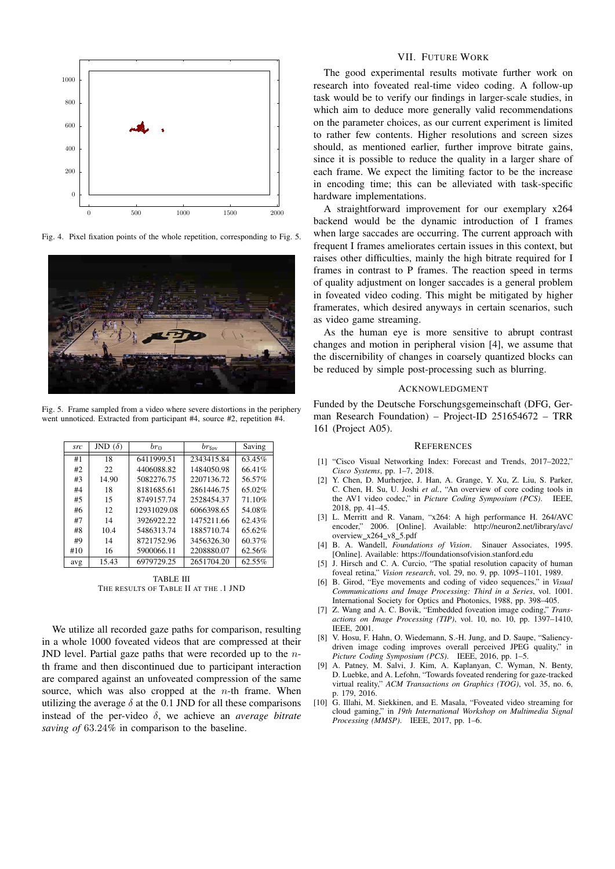

Fig. 4. Pixel fixation points of the whole repetition, corresponding to Fig. 5.



Fig. 5. Frame sampled from a video where severe distortions in the periphery went unnoticed. Extracted from participant #4, source #2, repetition #4.

| src | JND $(\delta)$ | $_{br_0}$   | $br_{\rm fov}$ | Saving |
|-----|----------------|-------------|----------------|--------|
| #1  | 18             | 6411999.51  | 2343415.84     | 63.45% |
| #2  | 22.            | 4406088.82  | 1484050.98     | 66.41% |
| #3  | 14.90          | 5082276.75  | 2207136.72     | 56.57% |
| #4  | 18             | 8181685.61  | 2861446.75     | 65.02% |
| #5  | 15             | 8749157.74  | 2528454.37     | 71.10% |
| #6  | 12             | 12931029.08 | 6066398.65     | 54.08% |
| #7  | 14             | 3926922.22  | 1475211.66     | 62.43% |
| #8  | 10.4           | 5486313.74  | 1885710.74     | 65.62% |
| #9  | 14             | 8721752.96  | 3456326.30     | 60.37% |
| #10 | 16             | 5900066.11  | 2208880.07     | 62.56% |
| avg | 15.43          | 6979729.25  | 2651704.20     | 62.55% |

TABLE III THE RESULTS OF TABLE II AT THE .1 JND

We utilize all recorded gaze paths for comparison, resulting in a whole 1000 foveated videos that are compressed at their JND level. Partial gaze paths that were recorded up to the  $n$ th frame and then discontinued due to participant interaction are compared against an unfoveated compression of the same source, which was also cropped at the  $n$ -th frame. When utilizing the average  $\delta$  at the 0.1 JND for all these comparisons instead of the per-video δ, we achieve an *average bitrate saving of* 63.24*%* in comparison to the baseline.

## VII. FUTURE WORK

The good experimental results motivate further work on research into foveated real-time video coding. A follow-up task would be to verify our findings in larger-scale studies, in which aim to deduce more generally valid recommendations on the parameter choices, as our current experiment is limited to rather few contents. Higher resolutions and screen sizes should, as mentioned earlier, further improve bitrate gains, since it is possible to reduce the quality in a larger share of each frame. We expect the limiting factor to be the increase in encoding time; this can be alleviated with task-specific hardware implementations.

A straightforward improvement for our exemplary x264 backend would be the dynamic introduction of I frames when large saccades are occurring. The current approach with frequent I frames ameliorates certain issues in this context, but raises other difficulties, mainly the high bitrate required for I frames in contrast to P frames. The reaction speed in terms of quality adjustment on longer saccades is a general problem in foveated video coding. This might be mitigated by higher framerates, which desired anyways in certain scenarios, such as video game streaming.

As the human eye is more sensitive to abrupt contrast changes and motion in peripheral vision [4], we assume that the discernibility of changes in coarsely quantized blocks can be reduced by simple post-processing such as blurring.

## ACKNOWLEDGMENT

Funded by the Deutsche Forschungsgemeinschaft (DFG, German Research Foundation) – Project-ID 251654672 – TRR 161 (Project A05).

#### **REFERENCES**

- [1] "Cisco Visual Networking Index: Forecast and Trends, 2017–2022," *Cisco Systems*, pp. 1–7, 2018.
- [2] Y. Chen, D. Murherjee, J. Han, A. Grange, Y. Xu, Z. Liu, S. Parker, C. Chen, H. Su, U. Joshi *et al.*, "An overview of core coding tools in the AV1 video codec," in *Picture Coding Symposium (PCS)*. IEEE, 2018, pp. 41–45.
- [3] L. Merritt and R. Vanam, "x264: A high performance H. 264/AVC encoder," 2006. [Online]. Available: http://neuron2.net/library/avc/  $overview_x264_v8_5.pdf$
- [4] B. A. Wandell, *Foundations of Vision*. Sinauer Associates, 1995. [Online]. Available: https://foundationsofvision.stanford.edu
- [5] J. Hirsch and C. A. Curcio, "The spatial resolution capacity of human foveal retina," *Vision research*, vol. 29, no. 9, pp. 1095–1101, 1989.
- [6] B. Girod, "Eye movements and coding of video sequences," in *Visual Communications and Image Processing: Third in a Series*, vol. 1001. International Society for Optics and Photonics, 1988, pp. 398–405.
- [7] Z. Wang and A. C. Bovik, "Embedded foveation image coding," *Transactions on Image Processing (TIP)*, vol. 10, no. 10, pp. 1397–1410, IEEE, 2001.
- [8] V. Hosu, F. Hahn, O. Wiedemann, S.-H. Jung, and D. Saupe, "Saliencydriven image coding improves overall perceived JPEG quality," in *Picture Coding Symposium (PCS)*. IEEE, 2016, pp. 1–5.
- [9] A. Patney, M. Salvi, J. Kim, A. Kaplanyan, C. Wyman, N. Benty, D. Luebke, and A. Lefohn, "Towards foveated rendering for gaze-tracked virtual reality," *ACM Transactions on Graphics (TOG)*, vol. 35, no. 6, p. 179, 2016.
- [10] G. Illahi, M. Siekkinen, and E. Masala, "Foveated video streaming for cloud gaming," in *19th International Workshop on Multimedia Signal Processing (MMSP)*. IEEE, 2017, pp. 1–6.